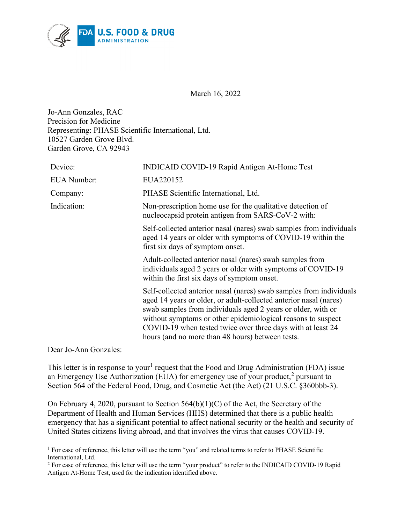

March 16, 2022

Jo-Ann Gonzales, RAC Precision for Medicine Representing: PHASE Scientific International, Ltd. 10527 Garden Grove Blvd. Garden Grove, CA 92943

| Device:            | INDICAID COVID-19 Rapid Antigen At-Home Test                                                                                                                                                                                                                                                                                                                                                |
|--------------------|---------------------------------------------------------------------------------------------------------------------------------------------------------------------------------------------------------------------------------------------------------------------------------------------------------------------------------------------------------------------------------------------|
| <b>EUA</b> Number: | EUA220152                                                                                                                                                                                                                                                                                                                                                                                   |
| Company:           | PHASE Scientific International, Ltd.                                                                                                                                                                                                                                                                                                                                                        |
| Indication:        | Non-prescription home use for the qualitative detection of<br>nucleocapsid protein antigen from SARS-CoV-2 with:                                                                                                                                                                                                                                                                            |
|                    | Self-collected anterior nasal (nares) swab samples from individuals<br>aged 14 years or older with symptoms of COVID-19 within the<br>first six days of symptom onset.                                                                                                                                                                                                                      |
|                    | Adult-collected anterior nasal (nares) swab samples from<br>individuals aged 2 years or older with symptoms of COVID-19<br>within the first six days of symptom onset.                                                                                                                                                                                                                      |
|                    | Self-collected anterior nasal (nares) swab samples from individuals<br>aged 14 years or older, or adult-collected anterior nasal (nares)<br>swab samples from individuals aged 2 years or older, with or<br>without symptoms or other epidemiological reasons to suspect<br>COVID-19 when tested twice over three days with at least 24<br>hours (and no more than 48 hours) between tests. |

Dear Jo-Ann Gonzales:

This letter is in response to your<sup>[1](#page-0-0)</sup> request that the Food and Drug Administration (FDA) issue an Emergency Use Authorization (EUA) for emergency use of your product,<sup>[2](#page-0-1)</sup> pursuant to Section 564 of the Federal Food, Drug, and Cosmetic Act (the Act) (21 U.S.C. §360bbb-3).

On February 4, 2020, pursuant to Section 564(b)(1)(C) of the Act, the Secretary of the Department of Health and Human Services (HHS) determined that there is a public health emergency that has a significant potential to affect national security or the health and security of United States citizens living abroad, and that involves the virus that causes COVID-19.

<span id="page-0-0"></span><sup>&</sup>lt;sup>1</sup> For ease of reference, this letter will use the term "you" and related terms to refer to PHASE Scientific International, Ltd.

<span id="page-0-1"></span><sup>&</sup>lt;sup>2</sup> For ease of reference, this letter will use the term "your product" to refer to the INDICAID COVID-19 Rapid Antigen At-Home Test, used for the indication identified above.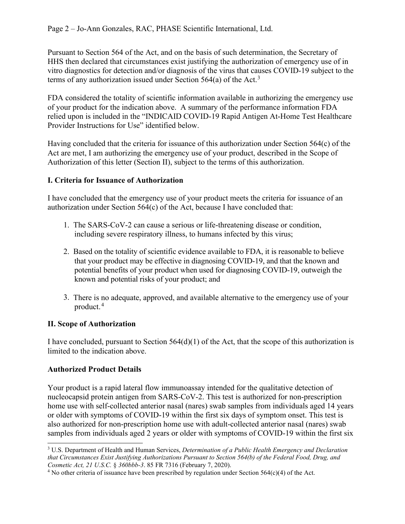Pursuant to Section 564 of the Act, and on the basis of such determination, the Secretary of HHS then declared that circumstances exist justifying the authorization of emergency use of in vitro diagnostics for detection and/or diagnosis of the virus that causes COVID-19 subject to the terms of any authorization issued under Section 564(a) of the Act.<sup>[3](#page-1-0)</sup>

FDA considered the totality of scientific information available in authorizing the emergency use of your product for the indication above. A summary of the performance information FDA relied upon is included in the "INDICAID COVID-19 Rapid Antigen At-Home Test Healthcare Provider Instructions for Use" identified below.

Having concluded that the criteria for issuance of this authorization under Section 564(c) of the Act are met, I am authorizing the emergency use of your product, described in the Scope of Authorization of this letter (Section II), subject to the terms of this authorization.

# **I. Criteria for Issuance of Authorization**

I have concluded that the emergency use of your product meets the criteria for issuance of an authorization under Section 564(c) of the Act, because I have concluded that:

- 1. The SARS-CoV-2 can cause a serious or life-threatening disease or condition, including severe respiratory illness, to humans infected by this virus;
- 2. Based on the totality of scientific evidence available to FDA, it is reasonable to believe that your product may be effective in diagnosing COVID-19, and that the known and potential benefits of your product when used for diagnosing COVID-19, outweigh the known and potential risks of your product; and
- 3. There is no adequate, approved, and available alternative to the emergency use of your product. [4](#page-1-1)

# **II. Scope of Authorization**

I have concluded, pursuant to Section 564(d)(1) of the Act, that the scope of this authorization is limited to the indication above.

# **Authorized Product Details**

Your product is a rapid lateral flow immunoassay intended for the qualitative detection of nucleocapsid protein antigen from SARS-CoV-2. This test is authorized for non-prescription home use with self-collected anterior nasal (nares) swab samples from individuals aged 14 years or older with symptoms of COVID-19 within the first six days of symptom onset. This test is also authorized for non-prescription home use with adult-collected anterior nasal (nares) swab samples from individuals aged 2 years or older with symptoms of COVID-19 within the first six

<span id="page-1-0"></span><sup>3</sup> U.S. Department of Health and Human Services, *Determination of a Public Health Emergency and Declaration that Circumstances Exist Justifying Authorizations Pursuant to Section 564(b) of the Federal Food, Drug, and Cosmetic Act, 21 U.S.C.* § *360bbb-3.* 85 FR 7316 (February 7, 2020).<br><sup>4</sup> No other criteria of issuance have been prescribed by regulation under Section 564(c)(4) of the Act.

<span id="page-1-1"></span>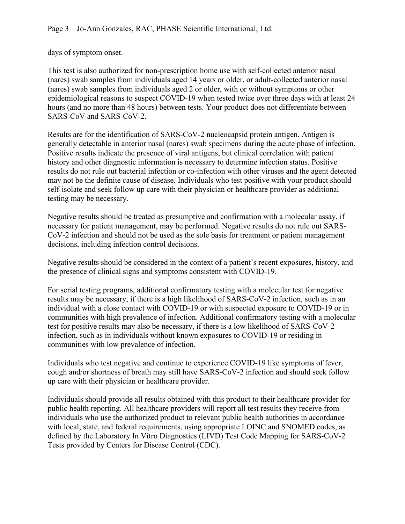days of symptom onset.

This test is also authorized for non-prescription home use with self-collected anterior nasal (nares) swab samples from individuals aged 14 years or older, or adult-collected anterior nasal (nares) swab samples from individuals aged 2 or older, with or without symptoms or other epidemiological reasons to suspect COVID-19 when tested twice over three days with at least 24 hours (and no more than 48 hours) between tests. Your product does not differentiate between SARS-CoV and SARS-CoV-2.

Results are for the identification of SARS-CoV-2 nucleocapsid protein antigen. Antigen is generally detectable in anterior nasal (nares) swab specimens during the acute phase of infection. Positive results indicate the presence of viral antigens, but clinical correlation with patient history and other diagnostic information is necessary to determine infection status. Positive results do not rule out bacterial infection or co-infection with other viruses and the agent detected may not be the definite cause of disease. Individuals who test positive with your product should self-isolate and seek follow up care with their physician or healthcare provider as additional testing may be necessary.

Negative results should be treated as presumptive and confirmation with a molecular assay, if necessary for patient management, may be performed. Negative results do not rule out SARS-CoV-2 infection and should not be used as the sole basis for treatment or patient management decisions, including infection control decisions.

Negative results should be considered in the context of a patient's recent exposures, history, and the presence of clinical signs and symptoms consistent with COVID-19.

For serial testing programs, additional confirmatory testing with a molecular test for negative results may be necessary, if there is a high likelihood of SARS-CoV-2 infection, such as in an individual with a close contact with COVID-19 or with suspected exposure to COVID-19 or in communities with high prevalence of infection. Additional confirmatory testing with a molecular test for positive results may also be necessary, if there is a low likelihood of SARS-CoV-2 infection, such as in individuals without known exposures to COVID-19 or residing in communities with low prevalence of infection.

Individuals who test negative and continue to experience COVID-19 like symptoms of fever, cough and/or shortness of breath may still have SARS-CoV-2 infection and should seek follow up care with their physician or healthcare provider.

Individuals should provide all results obtained with this product to their healthcare provider for public health reporting. All healthcare providers will report all test results they receive from individuals who use the authorized product to relevant public health authorities in accordance with local, state, and federal requirements, using appropriate LOINC and SNOMED codes, as defined by the Laboratory In Vitro Diagnostics (LIVD) Test Code Mapping for SARS-CoV-2 Tests provided by Centers for Disease Control (CDC).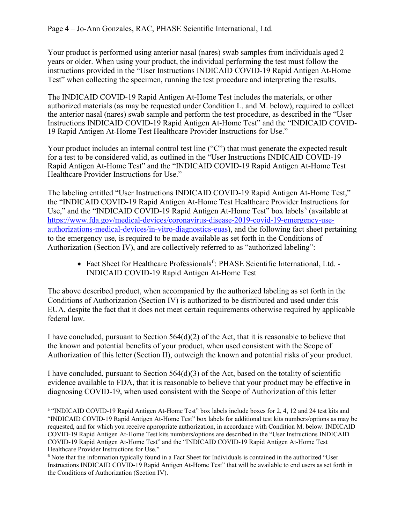Your product is performed using anterior nasal (nares) swab samples from individuals aged 2 years or older. When using your product, the individual performing the test must follow the instructions provided in the "User Instructions INDICAID COVID-19 Rapid Antigen At-Home Test" when collecting the specimen, running the test procedure and interpreting the results.

The INDICAID COVID-19 Rapid Antigen At-Home Test includes the materials, or other authorized materials (as may be requested under Condition L. and M. below), required to collect the anterior nasal (nares) swab sample and perform the test procedure, as described in the "User Instructions INDICAID COVID-19 Rapid Antigen At-Home Test" and the "INDICAID COVID-19 Rapid Antigen At-Home Test Healthcare Provider Instructions for Use."

Your product includes an internal control test line ("C") that must generate the expected result for a test to be considered valid, as outlined in the "User Instructions INDICAID COVID-19 Rapid Antigen At-Home Test" and the "INDICAID COVID-19 Rapid Antigen At-Home Test Healthcare Provider Instructions for Use."

The labeling entitled "User Instructions INDICAID COVID-19 Rapid Antigen At-Home Test," the "INDICAID COVID-19 Rapid Antigen At-Home Test Healthcare Provider Instructions for Use," and the "INDICAID COVID-19 Rapid Antigen At-Home Test" box labels<sup>[5](#page-3-0)</sup> (available at [https://www.fda.gov/medical-devices/coronavirus-disease-2019-covid-19-emergency-use](https://www.fda.gov/medical-devices/coronavirus-disease-2019-covid-19-emergency-use-authorizations-medical-devices/in-vitro-diagnostics-euas)[authorizations-medical-devices/in-vitro-diagnostics-euas\)](https://www.fda.gov/medical-devices/coronavirus-disease-2019-covid-19-emergency-use-authorizations-medical-devices/in-vitro-diagnostics-euas), and the following fact sheet pertaining to the emergency use, is required to be made available as set forth in the Conditions of Authorization (Section IV), and are collectively referred to as "authorized labeling":

• Fact Sheet for Healthcare Professionals<sup>[6](#page-3-1)</sup>: PHASE Scientific International, Ltd. -INDICAID COVID-19 Rapid Antigen At-Home Test

The above described product, when accompanied by the authorized labeling as set forth in the Conditions of Authorization (Section IV) is authorized to be distributed and used under this EUA, despite the fact that it does not meet certain requirements otherwise required by applicable federal law.

I have concluded, pursuant to Section  $564(d)(2)$  of the Act, that it is reasonable to believe that the known and potential benefits of your product, when used consistent with the Scope of Authorization of this letter (Section II), outweigh the known and potential risks of your product.

I have concluded, pursuant to Section  $564(d)(3)$  of the Act, based on the totality of scientific evidence available to FDA, that it is reasonable to believe that your product may be effective in diagnosing COVID-19, when used consistent with the Scope of Authorization of this letter

<span id="page-3-0"></span><sup>&</sup>lt;sup>5</sup> "INDICAID COVID-19 Rapid Antigen At-Home Test" box labels include boxes for 2, 4, 12 and 24 test kits and "INDICAID COVID-19 Rapid Antigen At-Home Test" box labels for additional test kits numbers/options as may be requested, and for which you receive appropriate authorization, in accordance with Condition M. below. INDICAID COVID-19 Rapid Antigen At-Home Test kits numbers/options are described in the "User Instructions INDICAID COVID-19 Rapid Antigen At-Home Test" and the "INDICAID COVID-19 Rapid Antigen At-Home Test Healthcare Provider Instructions for Use."

<span id="page-3-1"></span><sup>6</sup> Note that the information typically found in a Fact Sheet for Individuals is contained in the authorized "User Instructions INDICAID COVID-19 Rapid Antigen At-Home Test" that will be available to end users as set forth in the Conditions of Authorization (Section IV).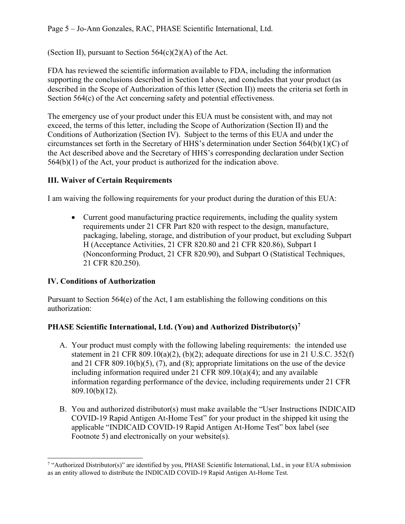Page 5 – Jo-Ann Gonzales, RAC, PHASE Scientific International, Ltd.

(Section II), pursuant to Section  $564(c)(2)(A)$  of the Act.

FDA has reviewed the scientific information available to FDA, including the information supporting the conclusions described in Section I above, and concludes that your product (as described in the Scope of Authorization of this letter (Section II)) meets the criteria set forth in Section 564(c) of the Act concerning safety and potential effectiveness.

The emergency use of your product under this EUA must be consistent with, and may not exceed, the terms of this letter, including the Scope of Authorization (Section II) and the Conditions of Authorization (Section IV). Subject to the terms of this EUA and under the circumstances set forth in the Secretary of HHS's determination under Section 564(b)(1)(C) of the Act described above and the Secretary of HHS's corresponding declaration under Section 564(b)(1) of the Act, your product is authorized for the indication above.

#### **III. Waiver of Certain Requirements**

I am waiving the following requirements for your product during the duration of this EUA:

• Current good manufacturing practice requirements, including the quality system requirements under 21 CFR Part 820 with respect to the design, manufacture, packaging, labeling, storage, and distribution of your product, but excluding Subpart H (Acceptance Activities, 21 CFR 820.80 and 21 CFR 820.86), Subpart I (Nonconforming Product, 21 CFR 820.90), and Subpart O (Statistical Techniques, 21 CFR 820.250).

### **IV. Conditions of Authorization**

Pursuant to Section  $564(e)$  of the Act, I am establishing the following conditions on this authorization:

### **PHASE Scientific International, Ltd. (You) and Authorized Distributor(s)[7](#page-4-0)**

- A. Your product must comply with the following labeling requirements: the intended use statement in 21 CFR 809.10(a)(2), (b)(2); adequate directions for use in 21 U.S.C. 352(f) and 21 CFR 809.10(b)(5), (7), and (8); appropriate limitations on the use of the device including information required under 21 CFR 809.10(a)(4); and any available information regarding performance of the device, including requirements under 21 CFR 809.10(b)(12).
- B. You and authorized distributor(s) must make available the "User Instructions INDICAID COVID-19 Rapid Antigen At-Home Test" for your product in the shipped kit using the applicable "INDICAID COVID-19 Rapid Antigen At-Home Test" box label (see Footnote 5) and electronically on your website(s).

<span id="page-4-0"></span><sup>&</sup>lt;sup>7</sup> "Authorized Distributor(s)" are identified by you, PHASE Scientific International, Ltd., in your EUA submission as an entity allowed to distribute the INDICAID COVID-19 Rapid Antigen At-Home Test.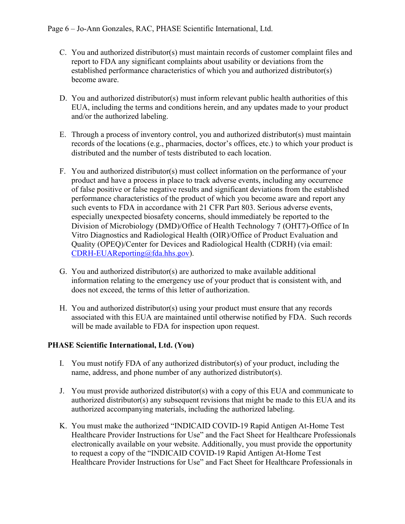- C. You and authorized distributor(s) must maintain records of customer complaint files and report to FDA any significant complaints about usability or deviations from the established performance characteristics of which you and authorized distributor(s) become aware.
- D. You and authorized distributor(s) must inform relevant public health authorities of this EUA, including the terms and conditions herein, and any updates made to your product and/or the authorized labeling.
- E. Through a process of inventory control, you and authorized distributor(s) must maintain records of the locations (e.g., pharmacies, doctor's offices, etc.) to which your product is distributed and the number of tests distributed to each location.
- F. You and authorized distributor(s) must collect information on the performance of your product and have a process in place to track adverse events, including any occurrence of false positive or false negative results and significant deviations from the established performance characteristics of the product of which you become aware and report any such events to FDA in accordance with 21 CFR Part 803. Serious adverse events, especially unexpected biosafety concerns, should immediately be reported to the Division of Microbiology (DMD)/Office of Health Technology 7 (OHT7)-Office of In Vitro Diagnostics and Radiological Health (OIR)/Office of Product Evaluation and Quality (OPEQ)/Center for Devices and Radiological Health (CDRH) (via email: [CDRH-EUAReporting@fda.hhs.gov\)](mailto:CDRH-EUAReporting@fda.hhs.gov).
- G. You and authorized distributor(s) are authorized to make available additional information relating to the emergency use of your product that is consistent with, and does not exceed, the terms of this letter of authorization.
- H. You and authorized distributor(s) using your product must ensure that any records associated with this EUA are maintained until otherwise notified by FDA. Such records will be made available to FDA for inspection upon request.

### **PHASE Scientific International, Ltd. (You)**

- I. You must notify FDA of any authorized distributor(s) of your product, including the name, address, and phone number of any authorized distributor(s).
- J. You must provide authorized distributor(s) with a copy of this EUA and communicate to authorized distributor(s) any subsequent revisions that might be made to this EUA and its authorized accompanying materials, including the authorized labeling.
- K. You must make the authorized "INDICAID COVID-19 Rapid Antigen At-Home Test Healthcare Provider Instructions for Use" and the Fact Sheet for Healthcare Professionals electronically available on your website. Additionally, you must provide the opportunity to request a copy of the "INDICAID COVID-19 Rapid Antigen At-Home Test Healthcare Provider Instructions for Use" and Fact Sheet for Healthcare Professionals in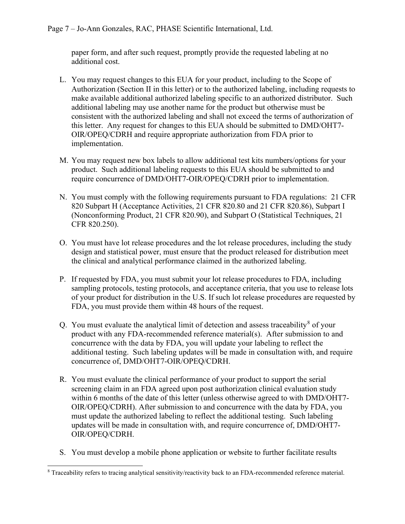paper form, and after such request, promptly provide the requested labeling at no additional cost.

- L. You may request changes to this EUA for your product, including to the Scope of Authorization (Section II in this letter) or to the authorized labeling, including requests to make available additional authorized labeling specific to an authorized distributor. Such additional labeling may use another name for the product but otherwise must be consistent with the authorized labeling and shall not exceed the terms of authorization of this letter. Any request for changes to this EUA should be submitted to DMD/OHT7- OIR/OPEQ/CDRH and require appropriate authorization from FDA prior to implementation.
- M. You may request new box labels to allow additional test kits numbers/options for your product. Such additional labeling requests to this EUA should be submitted to and require concurrence of DMD/OHT7-OIR/OPEQ/CDRH prior to implementation.
- N. You must comply with the following requirements pursuant to FDA regulations: 21 CFR 820 Subpart H (Acceptance Activities, 21 CFR 820.80 and 21 CFR 820.86), Subpart I (Nonconforming Product, 21 CFR 820.90), and Subpart O (Statistical Techniques, 21 CFR 820.250).
- O. You must have lot release procedures and the lot release procedures, including the study design and statistical power, must ensure that the product released for distribution meet the clinical and analytical performance claimed in the authorized labeling.
- P. If requested by FDA, you must submit your lot release procedures to FDA, including sampling protocols, testing protocols, and acceptance criteria, that you use to release lots of your product for distribution in the U.S. If such lot release procedures are requested by FDA, you must provide them within 48 hours of the request.
- Q. You must evaluate the analytical limit of detection and assess traceability<sup>[8](#page-6-0)</sup> of your product with any FDA-recommended reference material(s). After submission to and concurrence with the data by FDA, you will update your labeling to reflect the additional testing. Such labeling updates will be made in consultation with, and require concurrence of, DMD/OHT7-OIR/OPEQ/CDRH.
- R. You must evaluate the clinical performance of your product to support the serial screening claim in an FDA agreed upon post authorization clinical evaluation study within 6 months of the date of this letter (unless otherwise agreed to with DMD/OHT7- OIR/OPEQ/CDRH). After submission to and concurrence with the data by FDA, you must update the authorized labeling to reflect the additional testing. Such labeling updates will be made in consultation with, and require concurrence of, DMD/OHT7- OIR/OPEQ/CDRH.
- S. You must develop a mobile phone application or website to further facilitate results

<span id="page-6-0"></span><sup>8</sup> Traceability refers to tracing analytical sensitivity/reactivity back to an FDA-recommended reference material.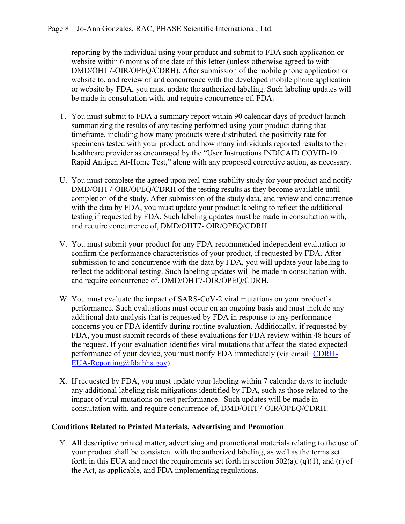reporting by the individual using your product and submit to FDA such application or website within 6 months of the date of this letter (unless otherwise agreed to with DMD/OHT7-OIR/OPEQ/CDRH). After submission of the mobile phone application or website to, and review of and concurrence with the developed mobile phone application or website by FDA, you must update the authorized labeling. Such labeling updates will be made in consultation with, and require concurrence of, FDA.

- T. You must submit to FDA a summary report within 90 calendar days of product launch summarizing the results of any testing performed using your product during that timeframe, including how many products were distributed, the positivity rate for specimens tested with your product, and how many individuals reported results to their healthcare provider as encouraged by the "User Instructions INDICAID COVID-19 Rapid Antigen At-Home Test," along with any proposed corrective action, as necessary.
- U. You must complete the agreed upon real-time stability study for your product and notify DMD/OHT7-OIR/OPEQ/CDRH of the testing results as they become available until completion of the study. After submission of the study data, and review and concurrence with the data by FDA, you must update your product labeling to reflect the additional testing if requested by FDA. Such labeling updates must be made in consultation with, and require concurrence of, DMD/OHT7- OIR/OPEQ/CDRH.
- V. You must submit your product for any FDA-recommended independent evaluation to confirm the performance characteristics of your product, if requested by FDA. After submission to and concurrence with the data by FDA, you will update your labeling to reflect the additional testing. Such labeling updates will be made in consultation with, and require concurrence of, DMD/OHT7-OIR/OPEQ/CDRH.
- W. You must evaluate the impact of SARS-CoV-2 viral mutations on your product's performance. Such evaluations must occur on an ongoing basis and must include any additional data analysis that is requested by FDA in response to any performance concerns you or FDA identify during routine evaluation. Additionally, if requested by FDA, you must submit records of these evaluations for FDA review within 48 hours of the request. If your evaluation identifies viral mutations that affect the stated expected performance of your device, you must notify FDA immediately (via email: [CDRH-](mailto:CDRH-EUA-Reporting@fda.hhs.gov)[EUA-Reporting@fda.hhs.gov\)](mailto:CDRH-EUA-Reporting@fda.hhs.gov).
- X. If requested by FDA, you must update your labeling within 7 calendar days to include any additional labeling risk mitigations identified by FDA, such as those related to the impact of viral mutations on test performance. Such updates will be made in consultation with, and require concurrence of, DMD/OHT7-OIR/OPEQ/CDRH.

#### **Conditions Related to Printed Materials, Advertising and Promotion**

Y. All descriptive printed matter, advertising and promotional materials relating to the use of your product shall be consistent with the authorized labeling, as well as the terms set forth in this EUA and meet the requirements set forth in section  $502(a)$ , (q)(1), and (r) of the Act, as applicable, and FDA implementing regulations.